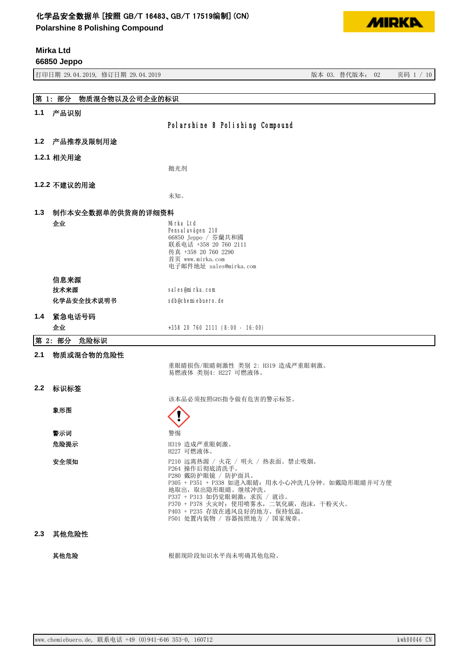**Polarshine 8 Polishing Compound**

**Mirka Ltd**



|     | 66850 Jeppo                      |                                                                                                                                                                                                                                                                                          |
|-----|----------------------------------|------------------------------------------------------------------------------------------------------------------------------------------------------------------------------------------------------------------------------------------------------------------------------------------|
|     | 打印日期 29.04.2019, 修订日期 29.04.2019 | 版本 03. 替代版本: 02<br>页码 1 / 10                                                                                                                                                                                                                                                             |
|     |                                  |                                                                                                                                                                                                                                                                                          |
|     | 物质混合物以及公司企业的标识<br>第 1: 部分        |                                                                                                                                                                                                                                                                                          |
| 1.1 | 产品识别                             |                                                                                                                                                                                                                                                                                          |
|     |                                  | Polarshine 8 Polishing Compound                                                                                                                                                                                                                                                          |
| 1.2 | 产品推荐及限制用途                        |                                                                                                                                                                                                                                                                                          |
|     | 1.2.1 相关用途                       |                                                                                                                                                                                                                                                                                          |
|     |                                  | 抛光剂                                                                                                                                                                                                                                                                                      |
|     | 1.2.2 不建议的用途                     |                                                                                                                                                                                                                                                                                          |
|     |                                  | 未知。                                                                                                                                                                                                                                                                                      |
| 1.3 | 制作本安全数据单的供货商的详细资料                |                                                                                                                                                                                                                                                                                          |
|     | 企业                               | Mirka Ltd<br>Pensal avägen 210<br>66850 Jeppo / 芬蘭共和國<br>联系电话 +358 20 760 2111<br>传真 +358 20 760 2290<br>首页 www.mirka.com                                                                                                                                                                |
|     |                                  | 电子邮件地址 sales@mirka.com                                                                                                                                                                                                                                                                   |
|     | 信息来源                             |                                                                                                                                                                                                                                                                                          |
|     | 技术来源                             | sales@mirka.com                                                                                                                                                                                                                                                                          |
|     | 化学品安全技术说明书                       | sdb@chemiebuero.de                                                                                                                                                                                                                                                                       |
| 1.4 | 紧急电话号码                           |                                                                                                                                                                                                                                                                                          |
|     | 企业                               | +358 20 760 2111 (8:00 - 16:00)                                                                                                                                                                                                                                                          |
|     | 第 2: 部分<br>危险标识                  |                                                                                                                                                                                                                                                                                          |
| 2.1 | 物质或混合物的危险性                       |                                                                                                                                                                                                                                                                                          |
|     |                                  | 重眼睛损伤/眼睛刺激性 类别 2: H319 造成严重眼刺激。<br>易燃液体 类别4: H227 可燃液体。                                                                                                                                                                                                                                  |
| 2.2 | 标识标签                             |                                                                                                                                                                                                                                                                                          |
|     |                                  | 该本品必须按照GHS指令做有危害的警示标签。                                                                                                                                                                                                                                                                   |
|     | 象形图                              | ╱╲<br>$\mathbf{I}$                                                                                                                                                                                                                                                                       |
|     | 警示词                              | 警惕                                                                                                                                                                                                                                                                                       |
|     | 危险提示                             | H319 造成严重眼刺激。<br>H227 可燃液体。                                                                                                                                                                                                                                                              |
|     | 安全须知                             | P210 远离热源 / 火花 / 明火 / 热表面。禁止吸烟。<br>P264 操作后彻底清洗手。<br>P280 戴防护眼镜 / 防护面具。<br>P305 + P351 + P338 如进入眼睛: 用水小心冲洗几分钟。如戴隐形眼睛并可方便<br>地取出, 取出隐形眼睛。继续冲洗。<br>P337 + P313 如仍觉眼刺激: 求医 / 就诊。<br>P370 + P378 火灾时: 使用喷雾水, 二氧化碳, 泡沫, 干粉灭火。<br>P403 + P235 存放在通风良好的地方。保持低温。<br>P501 处置内装物 / 容器按照地方 / 国家规章。 |
| 2.3 | 其他危险性                            |                                                                                                                                                                                                                                                                                          |
|     | 其他危险                             | 根据现阶段知识水平尚未明确其他危险。                                                                                                                                                                                                                                                                       |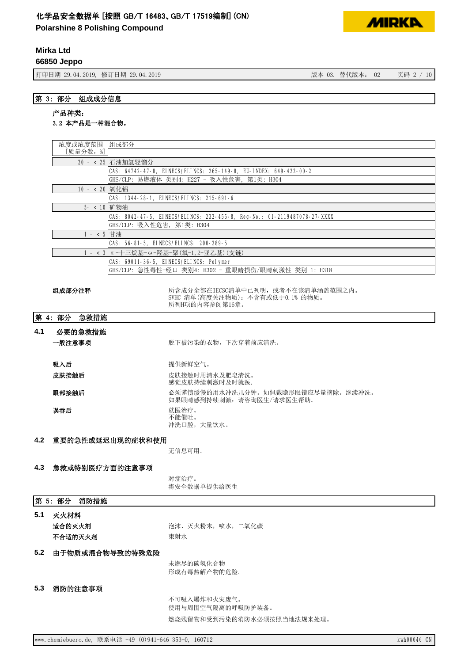**Polarshine 8 Polishing Compound**

## **Mirka Ltd**

**66850 Jeppo**

打印日期 29.04.2019, 修订日期 29.04.2019 3. 2019 2. 2010 2. 2010 2. 2010 2. 2010 2. 2010 2. 2020 2. 2020 2. 2020 2. 20

**MIRKD** 

## 第 3: 部分 组成成分信息

## 产品种类:

### 3.2 本产品是一种混合物。

| 浓度或浓度范围 组成部分  |                                                                          |  |  |
|---------------|--------------------------------------------------------------------------|--|--|
| [质量分数,%]      |                                                                          |  |  |
|               | 20 - < 25 石油加氢轻馏分                                                        |  |  |
|               | CAS: 64742-47-8, EINECS/ELINCS: 265-149-8, EU-INDEX: 649-422-00-2        |  |  |
|               | GHS/CLP: 易燃液体 类别4: H227 - 吸入性危害,第1类: H304                                |  |  |
| 10 - < 20 氧化铝 |                                                                          |  |  |
|               | CAS: 1344-28-1, EINECS/ELINCS: 215-691-6                                 |  |  |
| 5- < 10 矿物油   |                                                                          |  |  |
|               | CAS: 8042-47-5, EINECS/ELINCS: 232-455-8, Reg-No.: 01-2119487078-27-XXXX |  |  |
|               | GHS/CLP: 吸入性危害, 第1类: H304                                                |  |  |
| 1 - < 5 甘油    |                                                                          |  |  |
|               | CAS: 56-81-5, EINECS/ELINCS: 200-289-5                                   |  |  |
|               | 1 - < 3 α-十三烷基-ω-羟基-聚(氧-1, 2-亚乙基)(支链)                                    |  |  |
|               | CAS: 69011-36-5, EINECS/ELINCS: Polymer                                  |  |  |
|               | GHS/CLP: 急性毒性-经口 类别4: H302 - 重眼睛损伤/眼睛刺激性 类别 1: H318                      |  |  |
|               |                                                                          |  |  |

㓴ᡀ䜘࠶⌘䟺 ᡰਜ਼ᡀޘ࠶䜘൘,(&6&অѝᐢࡇ᰾ˈᡆ㘵н൘䈕অ⏥ⴆ㤳തѻDŽ SVHC 清单(高度关注物质): 不含有或低于0.1% 的物质。 所列H项的内容参阅第16章。

第 4: 部分 急救措施

| 4.1 | 必要的急救措施<br>一般注意事项 | 脱下被污染的衣物, 下次穿着前应清洗。                                            |
|-----|-------------------|----------------------------------------------------------------|
|     | 吸入后               | 提供新鲜空气。                                                        |
|     | 皮肤接触后             | 皮肤接触时用清水及肥皂清洗。<br>感觉皮肤持续刺激时及时就医.                               |
|     | 眼部接触后             | 必须谨慎缓慢的用水冲洗几分钟。如佩戴隐形眼镜应尽量摘除。继续冲洗。<br>如果眼睛感到持续刺激: 请咨询医生/请求医生帮助。 |
|     | 误吞后               | 就医治疗。<br>不能催吐。<br>冲洗口腔, 大量饮水。                                  |

#### 4.2 重要的急性或延迟出现的症状和使用

无信息可用。

#### 4.3 急救或特别医疗方面的注意事项

对症治疗。 将安全数据单提供给医生

### 第 5: 部分 消防措施

# 5.1 灭火材料

不合适的灭火剂 不合适的不同

**适合的灭火剂**<br>第一 泡沫、灭火粉末,喷水,二氧化碳

## 5.2 由于物质或混合物导致的特殊危险

未燃尽的碳氢化合物 形成有毒热解产物的危险。

#### 5.3 消防的注意事项

不可吸入爆炸和火灾废气。 使用与周围空气隔离的呼吸防护装备。 燃烧残留物和受到污染的消防水必须按照当地法规来处理。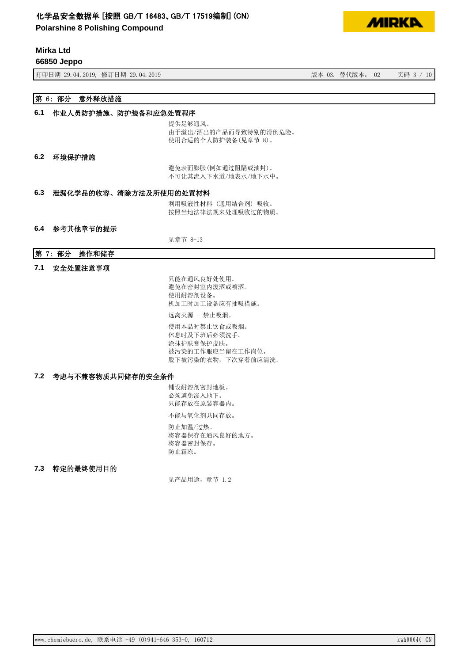**Polarshine 8 Polishing Compound**

## **Mirka Ltd**

**66850 Jeppo**

ᢃঠᰕᵏ؞䇒ᰕᵏ ⡸ᵜᴯԓ⡸ᵜ˖ 亥⸱

**MIDKD** 

## 第 6: 部分 意外释放措施

#### 6.1 作业人员防护措施、防护装备和应急处置程序

提供足够通风。 由于溢出/洒出的产品而导致特别的滑倒危险。 使用合适的个人防护装备(见章节 8)。

#### 6.2 环境保护措施

避免表面膨胀(例如通过阻隔或油封)。 不可让其流入下水道/地表水/地下水中。

#### 6.3 泄漏化学品的收容、清除方法及所使用的处置材料

利用吸液性材料(通用结合剂)吸收。 按照当地法律法规来处理吸收过的物质。

#### 6.4 参考其他章节的提示

见章节 8+13

#### 第 7: 部分 操作和储存

#### 7.1 安全处置注意事项

只能在通风良好处使用。 避免在密封室内泼洒或喷洒。 使用耐溶剂设备。 机加工时加工设备应有抽吸措施。 远离火源 - 禁止吸烟。 使用本品时禁止饮食或吸烟。

休息时及下班后必须洗手。 涂抹护肤膏保护皮肤。 被污染的工作服应当留在工作岗位。 脱下被污染的衣物,下次穿着前应清洗。

#### 7.2 考虑与不兼容物质共同储存的安全条件

铺设耐溶剂密封地板。 必须避免渗入地下。 只能存放在原装容器内。

不能与氧化剂共同存放。

防止加温/过热。 将容器保存在通风良好的地方。 将容器密封保存。 防止霜冻。

#### 7.3 特定的最终使用目的

见产品用途, 章节 1.2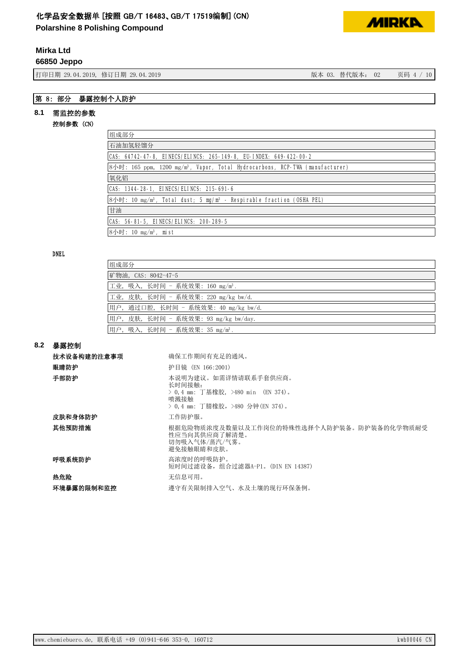**Polarshine 8 Polishing Compound**

## **Mirka Ltd**

**66850 Jeppo**

打印日期 29.04.2019, 修订日期 29.04.2019 3. 2019 20:00 20:00 20:00 20:00 20:00 20:00 页码 4 / 10

**MIRKA** 

## 第 8: 部分 暴露控制个人防护

## 8.1 需监控的参数

### 控制参数 (CN)

| 组成部分                                                                                                     |  |  |  |
|----------------------------------------------------------------------------------------------------------|--|--|--|
| 石油加氢轻馏分                                                                                                  |  |  |  |
| CAS: 64742-47-8, EINECS/ELINCS: 265-149-8, EU-INDEX: 649-422-00-2                                        |  |  |  |
| $8\text{/}$ 时: 165 ppm, 1200 mg/m <sup>3</sup> , Vapor, Total Hydrocarbons, RCP-TWA (manufacturer)       |  |  |  |
| 氧化铝                                                                                                      |  |  |  |
| CAS: 1344-28-1, EINECS/ELINCS: 215-691-6                                                                 |  |  |  |
| $8\text{/}$ Fig. 10 mg/m <sup>3</sup> , Total dust; 5 mg/m <sup>3</sup> - Respirable fraction (OSHA PEL) |  |  |  |
| 甘油                                                                                                       |  |  |  |
| CAS: 56-81-5, EINECS/ELINCS: 200-289-5                                                                   |  |  |  |
| 8小时: 10 mg/m <sup>3</sup> , mist                                                                         |  |  |  |

#### DNEL

| 组成部分                                        |
|---------------------------------------------|
| 矿物油, CAS: 8042-47-5                         |
| 工业, 吸入, 长时间 - 系统效果: 160 mg/m <sup>3</sup> . |
| 工业,皮肤,长时间 - 系统效果: 220 mg/kg bw/d.           |
| 用户,通过口腔,长时间 - 系统效果: 40 mg/kg bw/d.          |
| 用户, 皮肤, 长时间 - 系统效果: 93 mg/kg bw/day.        |
| 用户, 吸入, 长时间 - 系统效果: 35 mg/m <sup>3</sup> .  |

#### ࡦ䵢᧗᳤ **8.2**

| 技术设备构建的注意事项 | 确保工作期间有充足的通风。                                                                                                   |
|-------------|-----------------------------------------------------------------------------------------------------------------|
| 眼睛防护        | 护目镜 (EN 166:2001)                                                                                               |
| 手部防护        | 本说明为建议。如需详情请联系手套供应商。<br>长时间接触:<br>> 0.4 mm: 丁基橡胶, >480 min (EN 374)。<br>喷溅接触<br>> 0.4 mm: 丁腈橡胶,>480 分钟(EN 374)。 |
| 皮肤和身体防护     | 工作防护服。                                                                                                          |
| 其他预防措施      | 根据危险物质浓度及数量以及工作岗位的特殊性选择个人防护装备。防护装备的化学物质耐受<br>性应当向其供应商了解清楚。<br>切勿吸入气体/蒸汽/气雾。<br>避免接触眼睛和皮肤。                       |
| 呼吸系统防护      | 高浓度时的呼吸防护。<br>短时间过滤设备, 组合过滤器A-P1。(DIN EN 14387)                                                                 |
| 热危险         | 无信息可用。                                                                                                          |
| 环境暴露的限制和监控  | 遵守有关限制排入空气、水及土壤的现行环保条例。                                                                                         |
|             |                                                                                                                 |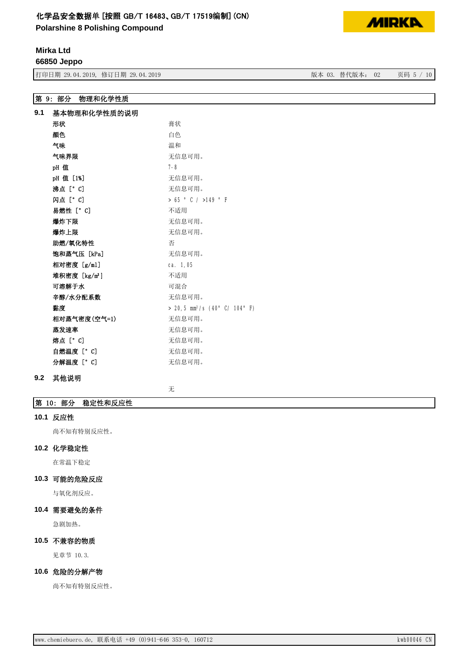**Polarshine 8 Polishing Compound**

## **Mirka Ltd**

**66850 Jeppo**

ᢃঠᰕᵏ؞䇒ᰕᵏ ⡸ᵜᴯԓ⡸ᵜ˖ 亥⸱

第 9: 部分 物理和化学性质

| 9.1 | 基本物理和化学性质的说明              |                                             |
|-----|---------------------------|---------------------------------------------|
|     | 形状                        | 膏状                                          |
|     | 颜色                        | 白色                                          |
|     | 气味                        | 温和                                          |
|     | 气味界限                      | 无信息可用。                                      |
|     | pH值                       | $7 - 8$                                     |
|     | pH 值 [1%]                 | 无信息可用。                                      |
|     | 沸点 [° C]                  | 无信息可用。                                      |
|     | 闪点 [° C]                  | $> 65$ $^{\circ}$ C / $>149$ $^{\circ}$ F   |
|     | 易燃性 [°C]                  | 不适用                                         |
|     | 爆炸下限                      | 无信息可用。                                      |
|     | 爆炸上限                      | 无信息可用。                                      |
|     | 助燃/氧化特性                   | 否                                           |
|     | 饱和蒸气压 [kPa]               | 无信息可用。                                      |
|     | 相对密度 [g/ml]               | ca. 1,05                                    |
|     | 堆积密度 [kg/m <sup>3</sup> ] | 不适用                                         |
|     | 可溶解于水                     | 可混合                                         |
|     | 辛醇/水分配系数                  | 无信息可用。                                      |
|     | 黏度                        | $> 20,5$ mm <sup>2</sup> /s (40° C/ 104° F) |
|     | 相对蒸气密度(空气=1)              | 无信息可用。                                      |
|     | 蒸发速率                      | 无信息可用。                                      |
|     | 熔点 [° C]                  | 无信息可用。                                      |
|     | 自燃温度[°C]                  | 无信息可用。                                      |
|     | 分解温度 [° C]                | 无信息可用。                                      |

#### 9.2 其他说明

无

## 第 10: 部分 稳定性和反应性

#### 10.1 反应性

尚不知有特别反应性。

#### 10.2 化学稳定性

在常温下稳定

### 10.3 可能的危险反应

与氧化剂反应。

## 10.4 需要避免的条件

急剧加热。

### 10.5 不兼容的物质

见章节 10.3.

#### 10.6 危险的分解产物

尚不知有特别反应性。

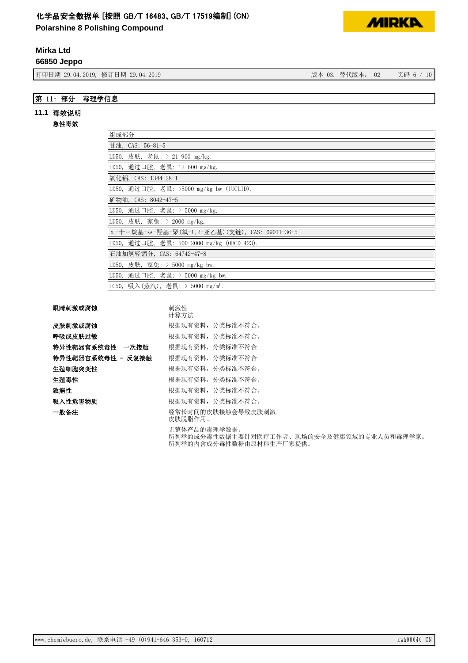**Polarshine 8 Polishing Compound**

## **Mirka Ltd**

**66850 Jeppo**

ᢃঠᰕᵏ؞䇒ᰕᵏ ⡸ᵜᴯԓ⡸ᵜ˖ 亥⸱

## 第 11: 部分 毒理学信息

#### 11.1 毒效说明

#### 急性毒效

| 组成部分                                          |
|-----------------------------------------------|
| 甘油, CAS: 56-81-5                              |
| LD50, 皮肤, 老鼠: > 21 900 mg/kg.                 |
| LD50, 通过口腔, 老鼠: 12 600 mg/kg.                 |
| 氧化铝, CAS: 1344-28-1                           |
| LD50, 通过口腔, 老鼠: >5000 mg/kg bw (IUCLID).      |
| 矿物油, CAS: 8042-47-5                           |
| LD50, 通过口腔, 老鼠: > 5000 mg/kg.                 |
| LD50, 皮肤, 家兔: > 2000 mg/kg.                   |
| α-十三烷基-ω-羟基-聚(氧-1,2-亚乙基)(支链), CAS: 69011-36-5 |
| LD50,通过口腔,老鼠: 500-2000 mg/kg (OECD 423).      |
| 石油加氢轻馏分,CAS: 64742-47-8                       |
| LD50, 皮肤, 家兔: > 5000 mg/kg bw.                |
| LD50, 通过口腔, 老鼠: > 5000 mg/kg bw.              |
| LC50, 吸入(蒸汽), 老鼠: > 5000 mg/m <sup>3</sup> .  |

## 眼睛刺激或腐蚀

|                   | 计算方法                                                                                 |
|-------------------|--------------------------------------------------------------------------------------|
| 皮肤刺激或腐蚀           | 根据现有资料,分类标准不符合。                                                                      |
| 呼吸或皮肤过敏           | 根据现有资料, 分类标准不符合。                                                                     |
| 特异性靶器官系统毒性 一次接触   | 根据现有资料,分类标准不符合。                                                                      |
| 特异性靶器官系统毒性 - 反复接触 | 根据现有资料,分类标准不符合。                                                                      |
| 生殖细胞突变性           | 根据现有资料,分类标准不符合。                                                                      |
| 生殖毒性              | 根据现有资料,分类标准不符合。                                                                      |
| 致癌性               | 根据现有资料,分类标准不符合。                                                                      |
| 吸入性危害物质           | 根据现有资料, 分类标准不符合。                                                                     |
| 一般备注              | 经常长时间的皮肤接触会导致皮肤刺激。<br>皮肤脱脂作用。                                                        |
|                   | 无整体产品的毒理学数据。<br>所列举的成分毒性数据主要针对医疗工作者、现场的安全及健康领域的专业人员和毒理学家。<br>所列举的内含成分毒性数据由原材料生产厂家提供。 |

刺激性



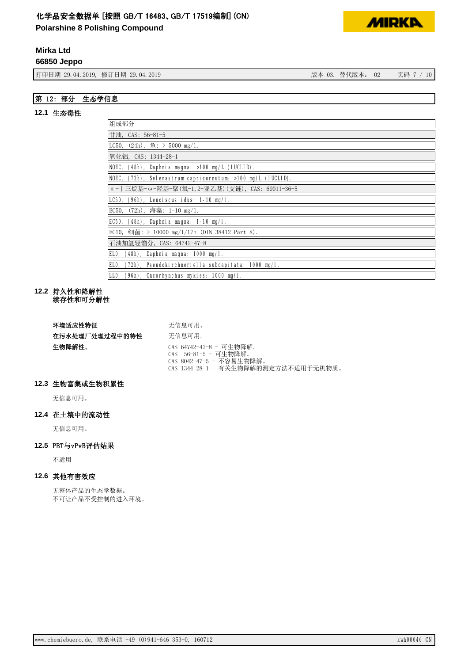**Polarshine 8 Polishing Compound**

## **Mirka Ltd**

**66850 Jeppo**

ᢃঠᰕᵏ؞䇒ᰕᵏ ⡸ᵜᴯԓ⡸ᵜ˖ 亥⸱

## 第 12: 部分 生态学信息

## 12.1 生态毒性

| 组成部分                                                        |
|-------------------------------------------------------------|
| 甘油, CAS: $56-81-5$                                          |
| $\vert$ LC50, (24h), $\underline{6}:$ > 5000 mg/1.          |
| 氧化铝,CAS: 1344-28-1                                          |
| NOEC, (48h), Daphnia magna: >100 mg/L (IUCLID).             |
| NOEC, (72h), Selenastrum capricornutum: >100 mg/L (IUCLID). |
| α-十三烷基-ω-羟基-聚(氧-1,2-亚乙基)(支链), CAS: 69011-36-5               |
| LC50.<br>$(96h)$ , Leuciscus idus: 1-10 mg/l.               |
| $(72h)$ , 海藻: 1-10 mg/1.<br>EC50,                           |
| EC50,<br>$(48h)$ , Daphnia magna: 1-10 mg/l.                |
| EC10, 细菌: > 10000 mg/1/17h (DIN 38412 Part 8).              |
| 石油加氢轻馏分, CAS: 64742-47-8                                    |
| $(48h)$ , Daphnia magna: 1000 mg/l.<br>ELO,                 |
| (72h), Pseudokirchneriella subcapitata: 1000 mg/l.<br>ELO,  |
| LLO, (96h), Oncorhynchus mykiss: 1000 mg/l.                 |

#### 12.2 持久性和降解性 纹存性和可分解性

| 环境适应性特征        | 无信息可用。                                                                                                              |
|----------------|---------------------------------------------------------------------------------------------------------------------|
| 在污水处理厂处理过程中的特性 | 无信息可用。                                                                                                              |
| 生物降解性。         | CAS 64742-47-8 - 可生物降解。<br>CAS 56-81-5 - 可生物降解。<br>CAS 8042-47-5 - 不容易生物降解。<br>CAS 1344-28-1 - 有关生物降解的测定方法不适用于无机物质。 |

## 12.3 生物富集或生物积累性

无信息可用。

### 12.4 在土壤中的流动性

无信息可用。

## 12.5 PBT与vPvB评估结果

不适用

## 12.6 其他有害效应

无整体产品的生态学数据。 нਟ䇙ӗ૱нਇ᧗ࡦⲴ䘋ޕ⧟ຳDŽ

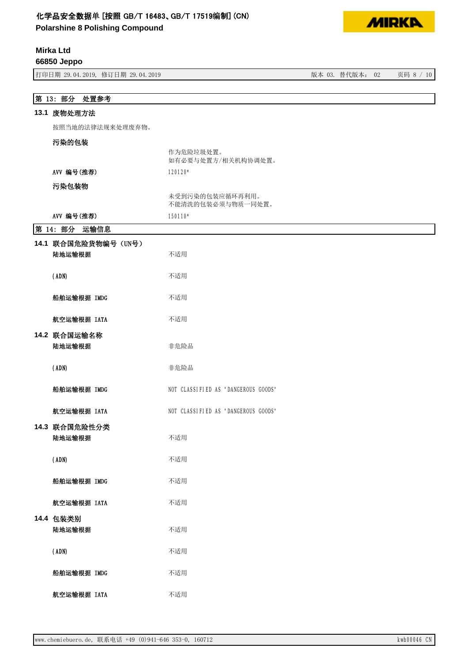**Polarshine 8 Polishing Compound**



## **Mirka Ltd**

**66850 Jeppo**

| 打印日期 29.04.2019, 修订日期 29.04.2019 |                                      | 版本 03. 替代版本: 02 | 页码 8 / 10 |
|----------------------------------|--------------------------------------|-----------------|-----------|
|                                  |                                      |                 |           |
| 第 13: 部分 处置参考                    |                                      |                 |           |
| 13.1 废物处理方法                      |                                      |                 |           |
| 按照当地的法律法规来处理废弃物。                 |                                      |                 |           |
| 污染的包装                            |                                      |                 |           |
|                                  | 作为危险垃圾处置。<br>如有必要与处置方/相关机构协调处置。      |                 |           |
| AVV 编号(推荐)                       | 120120*                              |                 |           |
| 污染包装物                            |                                      |                 |           |
|                                  | 未受到污染的包装应循环再利用。<br>不能清洗的包装必须与物质一同处置。 |                 |           |
| AVV 编号(推荐)                       | 150110*                              |                 |           |
| 第 14: 部分<br>运输信息                 |                                      |                 |           |
| 14.1 联合国危险货物编号 (UN号)             |                                      |                 |           |
| 陆地运输根据                           | 不适用                                  |                 |           |
| (ADN)                            | 不适用                                  |                 |           |
| 船舶运输根据 IMDG                      | 不适用                                  |                 |           |
| 航空运输根据 IATA                      | 不适用                                  |                 |           |
| 14.2 联合国运输名称<br>陆地运输根据           | 非危险品                                 |                 |           |
| (ADN)                            | 非危险品                                 |                 |           |
| 船舶运输根据 IMDG                      | NOT CLASSIFIED AS "DANGEROUS GOODS"  |                 |           |
| 航空运输根据 IATA                      | NOT CLASSIFIED AS "DANGEROUS GOODS"  |                 |           |
| 14.3 联合国危险性分类<br>陆地运输根据          | 不适用                                  |                 |           |
| (ADN)                            | 不适用                                  |                 |           |
| 船舶运输根据 IMDG                      | 不适用                                  |                 |           |
| 航空运输根据 IATA                      | 不适用                                  |                 |           |
| 14.4 包装类别<br>陆地运输根据              | 不适用                                  |                 |           |
| (ADN)                            | 不适用                                  |                 |           |
| 船舶运输根据 IMDG                      | 不适用                                  |                 |           |
| 航空运输根据 IATA                      | 不适用                                  |                 |           |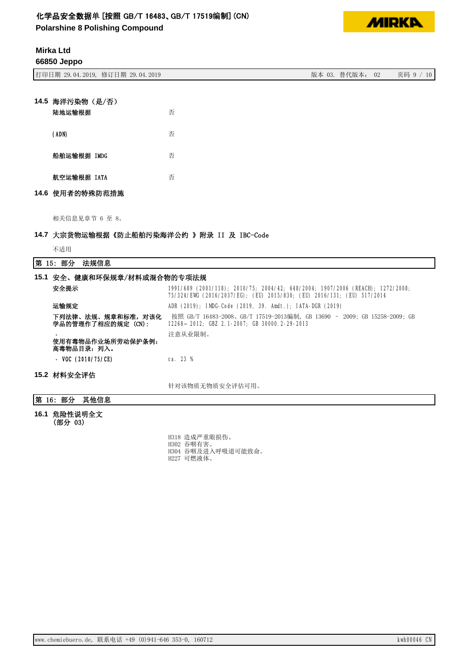**Polarshine 8 Polishing Compound**



## **Mirka Ltd**

**66850 Jeppo**

| 14.5 海洋污染物 (是/否)<br>陆地运输根据 | 否 |
|----------------------------|---|
| (ADN)                      | 否 |

| 航空运输根据 IATA | 否 |
|-------------|---|

船舶运输根据 IMDG **The Sound The Sound The Sound The Sound The Sound The Sound The Sound The Sound The Sound The Sound The Sound The Sound The Sound The Sound The Sound The Sound The Sound The Sound The Sound The Sound The Soun** 

## 14.6 使用者的特殊防范措施

相关信息见章节 6 至 8。

## 14.7 大宗货物运输根据《防止船舶污染海洋公约 》附录 II 及 IBC-Code

不适用

## 第 15: 部分 法规信息

| 15.1 安全、健康和环保规章/材料或混合物的专项法规            |                                                                                                                                                          |  |
|----------------------------------------|----------------------------------------------------------------------------------------------------------------------------------------------------------|--|
| 安全提示                                   | 1991/689 (2001/118); 2010/75; 2004/42; 648/2004; 1907/2006 (REACH); 1272/2008;<br>75/324/EWG (2016/2037/EG); (EU) 2015/830; (EU) 2016/131; (EU) 517/2014 |  |
| 运输规定                                   | ADR (2019); IMDG-Code (2019, 39. Amdt.); IATA-DGR (2019)                                                                                                 |  |
| 下列法律、法规、规章和标准,对该化<br>学品的管理作了相应的规定(CN): | 按照 GB/T 16483-2008、GB/T 17519-2013编制,GB 13690 - 2009; GB 15258-2009; GB<br>12268-2012; GBZ 2.1-2007; GB 30000.2-29-2013                                  |  |
| 使用有毒物品作业场所劳动保护条例:<br>高毒物品目录:列入。        | 注意从业限制。                                                                                                                                                  |  |
| - VOC $(2010/75/CE)$                   | ca. $23%$                                                                                                                                                |  |
| 15.2 材料安全评估                            |                                                                                                                                                          |  |
|                                        | 针对该物质无物质安全评估可用。                                                                                                                                          |  |

## 第 16: 部分 其他信息

16.1 危险性说明全文 (部分 03)

> H318 造成严重眼损伤。 H302 吞咽有害。 H304 吞咽及进入呼吸道可能致命。 H227 可燃液体。